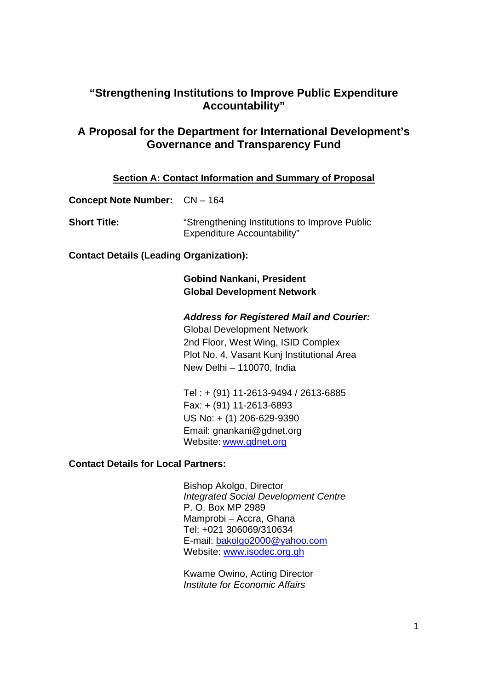# **"Strengthening Institutions to Improve Public Expenditure Accountability"**

# **A Proposal for the Department for International Development's Governance and Transparency Fund**

### **Section A: Contact Information and Summary of Proposal**

**Concept Note Number:** CN – 164

| <b>Short Title:</b> | "Strengthening Institutions to Improve Public |
|---------------------|-----------------------------------------------|
|                     | <b>Expenditure Accountability"</b>            |

**Contact Details (Leading Organization):** 

# **Gobind Nankani, President Global Development Network**

# *Address for Registered Mail and Courier:*

Global Development Network 2nd Floor, West Wing, ISID Complex Plot No. 4, Vasant Kunj Institutional Area New Delhi – 110070, India

Tel : + (91) 11-2613-9494 / 2613-6885 Fax: + (91) 11-2613-6893 US No: + (1) 206-629-9390 Email: gnankani@gdnet.org Website: www.gdnet.org

# **Contact Details for Local Partners:**

Bishop Akolgo, Director *Integrated Social Development Centre*  P. O. Box MP 2989 Mamprobi – Accra, Ghana Tel: +021 306069/310634 E-mail: bakolgo2000@yahoo.com Website: www.isodec.org.gh

 Kwame Owino, Acting Director *Institute for Economic Affairs*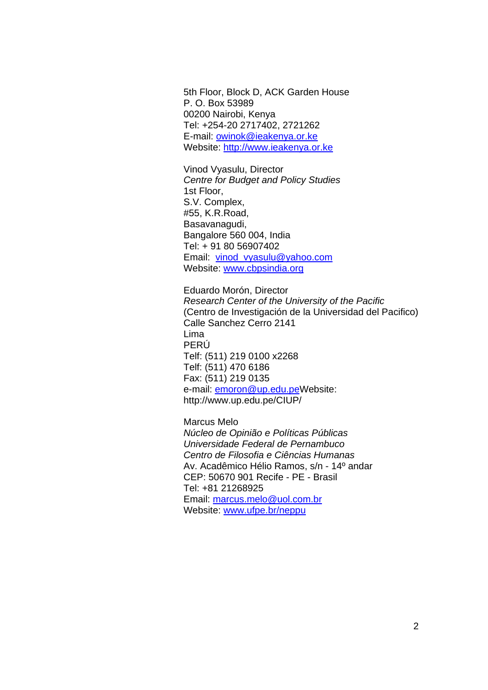5th Floor, Block D, ACK Garden House P. O. Box 53989 00200 Nairobi, Kenya Tel: +254-20 2717402, 2721262 E-mail: owinok@ieakenya.or.ke Website: http://www.ieakenya.or.ke

 Vinod Vyasulu, Director *Centre for Budget and Policy Studies*  1st Floor, S.V. Complex, #55, K.R.Road, Basavanagudi, Bangalore 560 004, India Tel: + 91 80 56907402 Email: vinod\_vyasulu@yahoo.com Website: www.cbpsindia.org

Eduardo Morón, Director *Research Center of the University of the Pacific* (Centro de Investigación de la Universidad del Pacifico) Calle Sanchez Cerro 2141 Lima PERÚ Telf: (511) 219 0100 x2268 Telf: (511) 470 6186 Fax: (511) 219 0135 e-mail: **emoron@up.edu.peWebsite:** http://www.up.edu.pe/CIUP/

Marcus Melo *Núcleo de Opinião e Políticas Públicas Universidade Federal de Pernambuco Centro de Filosofia e Ciências Humanas* Av. Acadêmico Hélio Ramos, s/n - 14º andar CEP: 50670 901 Recife - PE - Brasil Tel: +81 21268925 Email: marcus.melo@uol.com.br Website: www.ufpe.br/neppu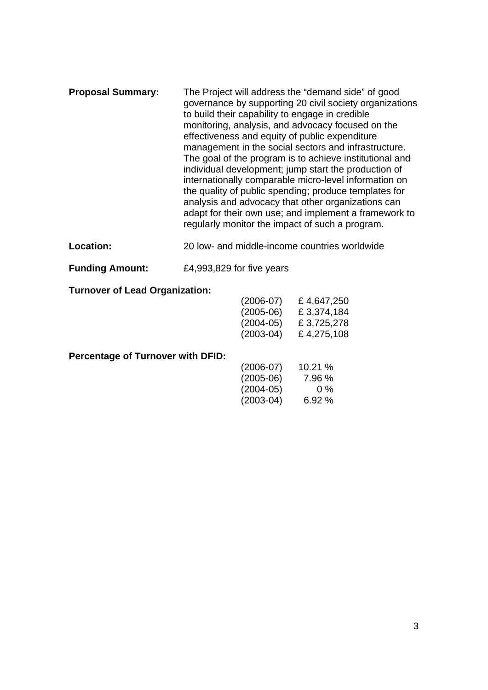- **Proposal Summary:** The Project will address the "demand side" of good governance by supporting 20 civil society organizations to build their capability to engage in credible monitoring, analysis, and advocacy focused on the effectiveness and equity of public expenditure management in the social sectors and infrastructure. The goal of the program is to achieve institutional and individual development; jump start the production of internationally comparable micro-level information on the quality of public spending; produce templates for analysis and advocacy that other organizations can adapt for their own use; and implement a framework to regularly monitor the impact of such a program.
- **Location:** 20 low- and middle-income countries worldwide
- **Funding Amount:** £4,993,829 for five years

#### **Turnover of Lead Organization:**

| $(2006-07)$ | £4,647,250  |
|-------------|-------------|
| $(2005-06)$ | £ 3,374,184 |
| $(2004-05)$ | £ 3,725,278 |
| $(2003-04)$ | £4,275,108  |

#### **Percentage of Turnover with DFID:**

| $(2006-07)$ | 10.21% |
|-------------|--------|
| $(2005-06)$ | 7.96 % |
| $(2004-05)$ | $0\%$  |
| $(2003-04)$ | 6.92%  |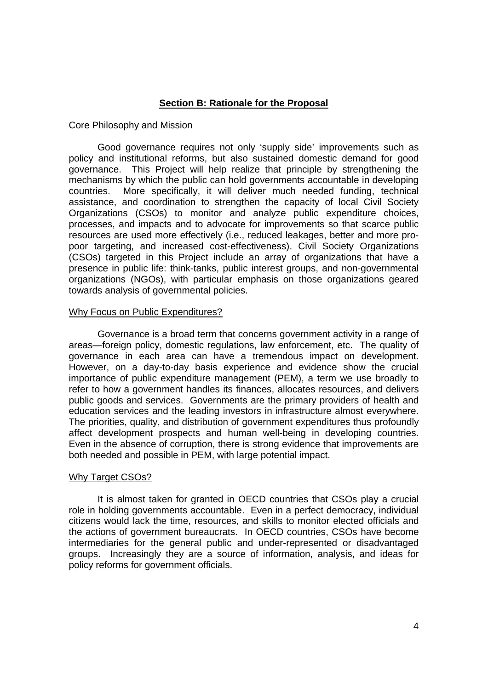# **Section B: Rationale for the Proposal**

### Core Philosophy and Mission

Good governance requires not only 'supply side' improvements such as policy and institutional reforms, but also sustained domestic demand for good governance. This Project will help realize that principle by strengthening the mechanisms by which the public can hold governments accountable in developing countries. More specifically, it will deliver much needed funding, technical assistance, and coordination to strengthen the capacity of local Civil Society Organizations (CSOs) to monitor and analyze public expenditure choices, processes, and impacts and to advocate for improvements so that scarce public resources are used more effectively (i.e., reduced leakages, better and more propoor targeting, and increased cost-effectiveness). Civil Society Organizations (CSOs) targeted in this Project include an array of organizations that have a presence in public life: think-tanks, public interest groups, and non-governmental organizations (NGOs), with particular emphasis on those organizations geared towards analysis of governmental policies.

#### Why Focus on Public Expenditures?

Governance is a broad term that concerns government activity in a range of areas—foreign policy, domestic regulations, law enforcement, etc. The quality of governance in each area can have a tremendous impact on development. However, on a day-to-day basis experience and evidence show the crucial importance of public expenditure management (PEM), a term we use broadly to refer to how a government handles its finances, allocates resources, and delivers public goods and services. Governments are the primary providers of health and education services and the leading investors in infrastructure almost everywhere. The priorities, quality, and distribution of government expenditures thus profoundly affect development prospects and human well-being in developing countries. Even in the absence of corruption, there is strong evidence that improvements are both needed and possible in PEM, with large potential impact.

#### Why Target CSOs?

It is almost taken for granted in OECD countries that CSOs play a crucial role in holding governments accountable. Even in a perfect democracy, individual citizens would lack the time, resources, and skills to monitor elected officials and the actions of government bureaucrats. In OECD countries, CSOs have become intermediaries for the general public and under-represented or disadvantaged groups. Increasingly they are a source of information, analysis, and ideas for policy reforms for government officials.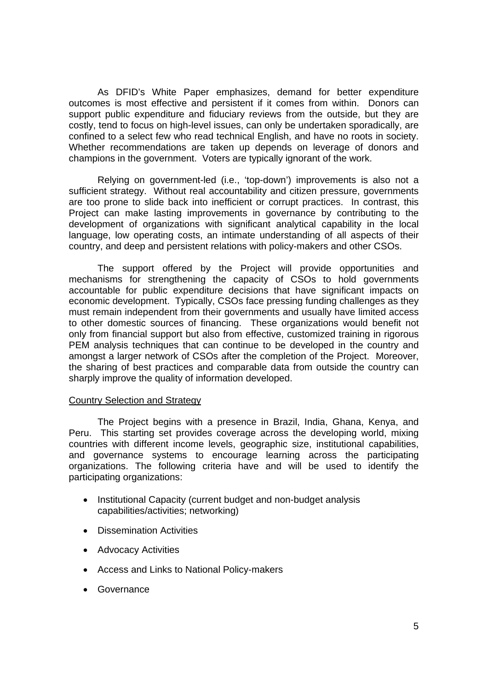As DFID's White Paper emphasizes, demand for better expenditure outcomes is most effective and persistent if it comes from within. Donors can support public expenditure and fiduciary reviews from the outside, but they are costly, tend to focus on high-level issues, can only be undertaken sporadically, are confined to a select few who read technical English, and have no roots in society. Whether recommendations are taken up depends on leverage of donors and champions in the government. Voters are typically ignorant of the work.

Relying on government-led (i.e., 'top-down') improvements is also not a sufficient strategy. Without real accountability and citizen pressure, governments are too prone to slide back into inefficient or corrupt practices. In contrast, this Project can make lasting improvements in governance by contributing to the development of organizations with significant analytical capability in the local language, low operating costs, an intimate understanding of all aspects of their country, and deep and persistent relations with policy-makers and other CSOs.

 The support offered by the Project will provide opportunities and mechanisms for strengthening the capacity of CSOs to hold governments accountable for public expenditure decisions that have significant impacts on economic development. Typically, CSOs face pressing funding challenges as they must remain independent from their governments and usually have limited access to other domestic sources of financing. These organizations would benefit not only from financial support but also from effective, customized training in rigorous PEM analysis techniques that can continue to be developed in the country and amongst a larger network of CSOs after the completion of the Project. Moreover, the sharing of best practices and comparable data from outside the country can sharply improve the quality of information developed.

### Country Selection and Strategy

The Project begins with a presence in Brazil, India, Ghana, Kenya, and Peru. This starting set provides coverage across the developing world, mixing countries with different income levels, geographic size, institutional capabilities, and governance systems to encourage learning across the participating organizations. The following criteria have and will be used to identify the participating organizations:

- Institutional Capacity (current budget and non-budget analysis capabilities/activities; networking)
- Dissemination Activities
- Advocacy Activities
- Access and Links to National Policy-makers
- Governance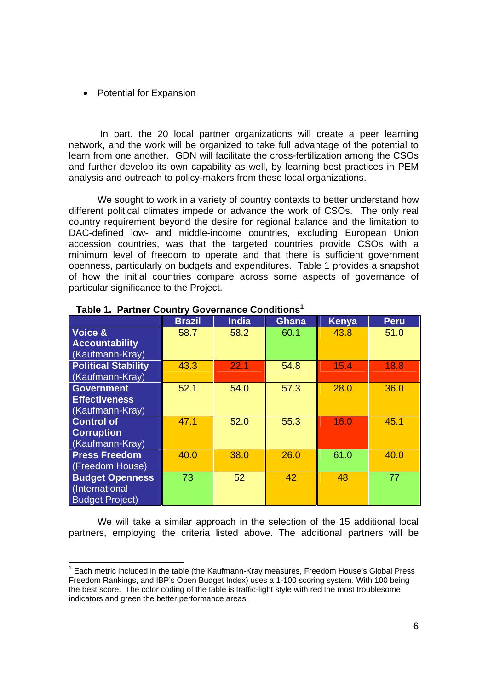#### • Potential for Expansion

 In part, the 20 local partner organizations will create a peer learning network, and the work will be organized to take full advantage of the potential to learn from one another. GDN will facilitate the cross-fertilization among the CSOs and further develop its own capability as well, by learning best practices in PEM analysis and outreach to policy-makers from these local organizations.

We sought to work in a variety of country contexts to better understand how different political climates impede or advance the work of CSOs. The only real country requirement beyond the desire for regional balance and the limitation to DAC-defined low- and middle-income countries, excluding European Union accession countries, was that the targeted countries provide CSOs with a minimum level of freedom to operate and that there is sufficient government openness, particularly on budgets and expenditures. Table 1 provides a snapshot of how the initial countries compare across some aspects of governance of particular significance to the Project.

|                                                                    | <b>Brazil</b> | <b>India</b> | Ghana | <b>Kenya</b> | <b>Peru</b> |
|--------------------------------------------------------------------|---------------|--------------|-------|--------------|-------------|
| Voice &<br><b>Accountability</b><br>(Kaufmann-Kray)                | 58.7          | 58.2         | 60.1  | 43.8         | 51.0        |
| <b>Political Stability</b><br>(Kaufmann-Kray)                      | 43.3          | 22.1         | 54.8  | 15.4         | 18.8        |
| <b>Government</b><br><b>Effectiveness</b><br>(Kaufmann-Kray)       | 52.1          | 54.0         | 57.3  | 28.0         | 36.0        |
| <b>Control of</b><br><b>Corruption</b><br>(Kaufmann-Kray)          | 47.1          | 52.0         | 55.3  | 16.0         | 45.1        |
| <b>Press Freedom</b><br>(Freedom House)                            | 40.0          | 38.0         | 26.0  | 61.0         | 40.0        |
| <b>Budget Openness</b><br>(International<br><b>Budget Project)</b> | 73            | 52           | 42    | 48           | 77          |

# **Table 1. Partner Country Governance Conditions1**

We will take a similar approach in the selection of the 15 additional local partners, employing the criteria listed above. The additional partners will be

<sup>————————————————————&</sup>lt;br><sup>1</sup> Each metric included in the table (the Kaufmann-Kray measures, Freedom House's Global Press Freedom Rankings, and IBP's Open Budget Index) uses a 1-100 scoring system. With 100 being the best score. The color coding of the table is traffic-light style with red the most troublesome indicators and green the better performance areas.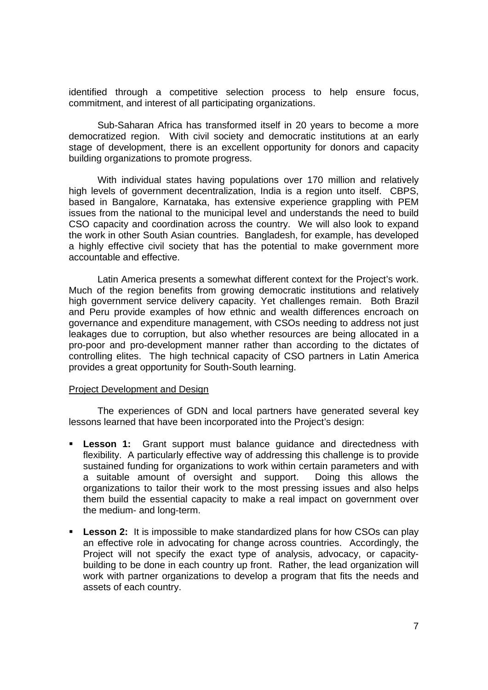identified through a competitive selection process to help ensure focus, commitment, and interest of all participating organizations.

Sub-Saharan Africa has transformed itself in 20 years to become a more democratized region. With civil society and democratic institutions at an early stage of development, there is an excellent opportunity for donors and capacity building organizations to promote progress.

With individual states having populations over 170 million and relatively high levels of government decentralization, India is a region unto itself. CBPS, based in Bangalore, Karnataka, has extensive experience grappling with PEM issues from the national to the municipal level and understands the need to build CSO capacity and coordination across the country. We will also look to expand the work in other South Asian countries. Bangladesh, for example, has developed a highly effective civil society that has the potential to make government more accountable and effective.

 Latin America presents a somewhat different context for the Project's work. Much of the region benefits from growing democratic institutions and relatively high government service delivery capacity. Yet challenges remain. Both Brazil and Peru provide examples of how ethnic and wealth differences encroach on governance and expenditure management, with CSOs needing to address not just leakages due to corruption, but also whether resources are being allocated in a pro-poor and pro-development manner rather than according to the dictates of controlling elites. The high technical capacity of CSO partners in Latin America provides a great opportunity for South-South learning.

#### Project Development and Design

The experiences of GDN and local partners have generated several key lessons learned that have been incorporated into the Project's design:

- **Lesson 1:** Grant support must balance guidance and directedness with flexibility. A particularly effective way of addressing this challenge is to provide sustained funding for organizations to work within certain parameters and with a suitable amount of oversight and support. Doing this allows the organizations to tailor their work to the most pressing issues and also helps them build the essential capacity to make a real impact on government over the medium- and long-term.
- **Lesson 2:** It is impossible to make standardized plans for how CSOs can play an effective role in advocating for change across countries. Accordingly, the Project will not specify the exact type of analysis, advocacy, or capacitybuilding to be done in each country up front. Rather, the lead organization will work with partner organizations to develop a program that fits the needs and assets of each country.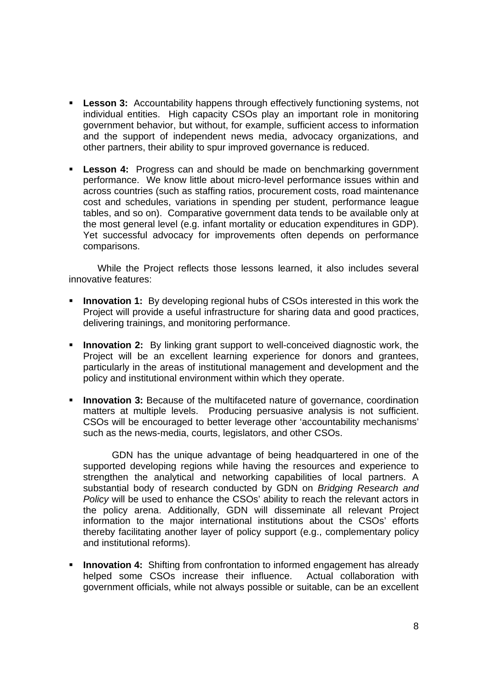- **Lesson 3:** Accountability happens through effectively functioning systems, not individual entities. High capacity CSOs play an important role in monitoring government behavior, but without, for example, sufficient access to information and the support of independent news media, advocacy organizations, and other partners, their ability to spur improved governance is reduced.
- **Lesson 4:** Progress can and should be made on benchmarking government performance. We know little about micro-level performance issues within and across countries (such as staffing ratios, procurement costs, road maintenance cost and schedules, variations in spending per student, performance league tables, and so on). Comparative government data tends to be available only at the most general level (e.g. infant mortality or education expenditures in GDP). Yet successful advocacy for improvements often depends on performance comparisons.

While the Project reflects those lessons learned, it also includes several innovative features:

- **Innovation 1:** By developing regional hubs of CSOs interested in this work the Project will provide a useful infrastructure for sharing data and good practices, delivering trainings, and monitoring performance.
- **Innovation 2:** By linking grant support to well-conceived diagnostic work, the Project will be an excellent learning experience for donors and grantees, particularly in the areas of institutional management and development and the policy and institutional environment within which they operate.
- **Innovation 3:** Because of the multifaceted nature of governance, coordination matters at multiple levels. Producing persuasive analysis is not sufficient. CSOs will be encouraged to better leverage other 'accountability mechanisms' such as the news-media, courts, legislators, and other CSOs.

GDN has the unique advantage of being headquartered in one of the supported developing regions while having the resources and experience to strengthen the analytical and networking capabilities of local partners. A substantial body of research conducted by GDN on *Bridging Research and Policy* will be used to enhance the CSOs' ability to reach the relevant actors in the policy arena. Additionally, GDN will disseminate all relevant Project information to the major international institutions about the CSOs' efforts thereby facilitating another layer of policy support (e.g., complementary policy and institutional reforms).

**Innovation 4:** Shifting from confrontation to informed engagement has already helped some CSOs increase their influence. Actual collaboration with government officials, while not always possible or suitable, can be an excellent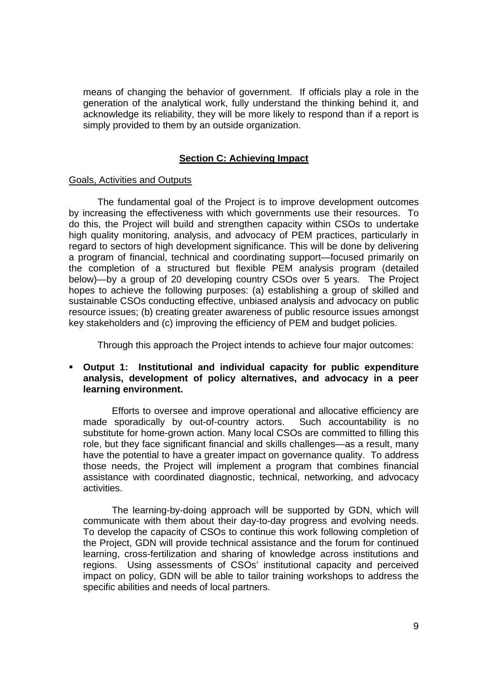means of changing the behavior of government. If officials play a role in the generation of the analytical work, fully understand the thinking behind it, and acknowledge its reliability, they will be more likely to respond than if a report is simply provided to them by an outside organization.

### **Section C: Achieving Impact**

#### Goals, Activities and Outputs

The fundamental goal of the Project is to improve development outcomes by increasing the effectiveness with which governments use their resources. To do this, the Project will build and strengthen capacity within CSOs to undertake high quality monitoring, analysis, and advocacy of PEM practices, particularly in regard to sectors of high development significance. This will be done by delivering a program of financial, technical and coordinating support—focused primarily on the completion of a structured but flexible PEM analysis program (detailed below)—by a group of 20 developing country CSOs over 5 years. The Project hopes to achieve the following purposes: (a) establishing a group of skilled and sustainable CSOs conducting effective, unbiased analysis and advocacy on public resource issues; (b) creating greater awareness of public resource issues amongst key stakeholders and (c) improving the efficiency of PEM and budget policies.

Through this approach the Project intends to achieve four major outcomes:

### **Output 1: Institutional and individual capacity for public expenditure analysis, development of policy alternatives, and advocacy in a peer learning environment.**

Efforts to oversee and improve operational and allocative efficiency are made sporadically by out-of-country actors. Such accountability is no substitute for home-grown action. Many local CSOs are committed to filling this role, but they face significant financial and skills challenges—as a result, many have the potential to have a greater impact on governance quality. To address those needs, the Project will implement a program that combines financial assistance with coordinated diagnostic, technical, networking, and advocacy activities.

The learning-by-doing approach will be supported by GDN, which will communicate with them about their day-to-day progress and evolving needs. To develop the capacity of CSOs to continue this work following completion of the Project, GDN will provide technical assistance and the forum for continued learning, cross-fertilization and sharing of knowledge across institutions and regions. Using assessments of CSOs' institutional capacity and perceived impact on policy, GDN will be able to tailor training workshops to address the specific abilities and needs of local partners.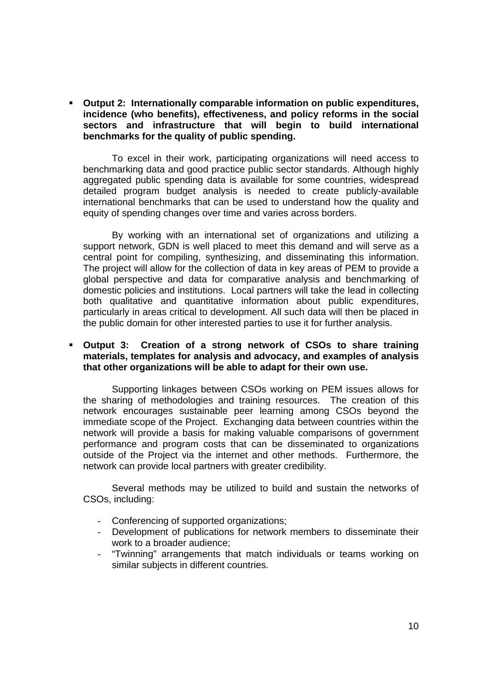**Output 2: Internationally comparable information on public expenditures, incidence (who benefits), effectiveness, and policy reforms in the social sectors and infrastructure that will begin to build international benchmarks for the quality of public spending.**

To excel in their work, participating organizations will need access to benchmarking data and good practice public sector standards. Although highly aggregated public spending data is available for some countries, widespread detailed program budget analysis is needed to create publicly-available international benchmarks that can be used to understand how the quality and equity of spending changes over time and varies across borders.

By working with an international set of organizations and utilizing a support network, GDN is well placed to meet this demand and will serve as a central point for compiling, synthesizing, and disseminating this information. The project will allow for the collection of data in key areas of PEM to provide a global perspective and data for comparative analysis and benchmarking of domestic policies and institutions. Local partners will take the lead in collecting both qualitative and quantitative information about public expenditures, particularly in areas critical to development. All such data will then be placed in the public domain for other interested parties to use it for further analysis.

### **Output 3: Creation of a strong network of CSOs to share training materials, templates for analysis and advocacy, and examples of analysis that other organizations will be able to adapt for their own use.**

Supporting linkages between CSOs working on PEM issues allows for the sharing of methodologies and training resources. The creation of this network encourages sustainable peer learning among CSOs beyond the immediate scope of the Project. Exchanging data between countries within the network will provide a basis for making valuable comparisons of government performance and program costs that can be disseminated to organizations outside of the Project via the internet and other methods. Furthermore, the network can provide local partners with greater credibility.

Several methods may be utilized to build and sustain the networks of CSOs, including:

- Conferencing of supported organizations;
- Development of publications for network members to disseminate their work to a broader audience;
- "Twinning" arrangements that match individuals or teams working on similar subjects in different countries.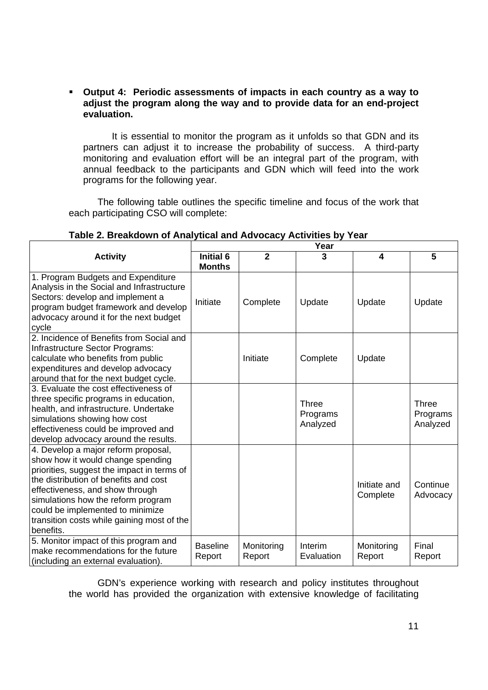## **Output 4: Periodic assessments of impacts in each country as a way to adjust the program along the way and to provide data for an end-project evaluation.**

It is essential to monitor the program as it unfolds so that GDN and its partners can adjust it to increase the probability of success. A third-party monitoring and evaluation effort will be an integral part of the program, with annual feedback to the participants and GDN which will feed into the work programs for the following year.

The following table outlines the specific timeline and focus of the work that each participating CSO will complete:

|                                                                                                                                                                                                                                                                                                                                         | Year                       |                      |                                      |                          |                                      |
|-----------------------------------------------------------------------------------------------------------------------------------------------------------------------------------------------------------------------------------------------------------------------------------------------------------------------------------------|----------------------------|----------------------|--------------------------------------|--------------------------|--------------------------------------|
| <b>Activity</b>                                                                                                                                                                                                                                                                                                                         | Initial 6<br><b>Months</b> | $\mathbf{2}$         | 3                                    | 4                        | 5                                    |
| 1. Program Budgets and Expenditure<br>Analysis in the Social and Infrastructure<br>Sectors: develop and implement a<br>program budget framework and develop<br>advocacy around it for the next budget<br>cycle                                                                                                                          | Initiate                   | Complete             | Update                               | Update                   | Update                               |
| 2. Incidence of Benefits from Social and<br>Infrastructure Sector Programs:<br>calculate who benefits from public<br>expenditures and develop advocacy<br>around that for the next budget cycle.                                                                                                                                        |                            | Initiate             | Complete                             | Update                   |                                      |
| 3. Evaluate the cost effectiveness of<br>three specific programs in education,<br>health, and infrastructure. Undertake<br>simulations showing how cost<br>effectiveness could be improved and<br>develop advocacy around the results.                                                                                                  |                            |                      | <b>Three</b><br>Programs<br>Analyzed |                          | <b>Three</b><br>Programs<br>Analyzed |
| 4. Develop a major reform proposal,<br>show how it would change spending<br>priorities, suggest the impact in terms of<br>the distribution of benefits and cost<br>effectiveness, and show through<br>simulations how the reform program<br>could be implemented to minimize<br>transition costs while gaining most of the<br>benefits. |                            |                      |                                      | Initiate and<br>Complete | Continue<br>Advocacy                 |
| 5. Monitor impact of this program and<br>make recommendations for the future<br>(including an external evaluation).                                                                                                                                                                                                                     | <b>Baseline</b><br>Report  | Monitoring<br>Report | Interim<br>Evaluation                | Monitoring<br>Report     | Final<br>Report                      |

# **Table 2. Breakdown of Analytical and Advocacy Activities by Year**

GDN's experience working with research and policy institutes throughout the world has provided the organization with extensive knowledge of facilitating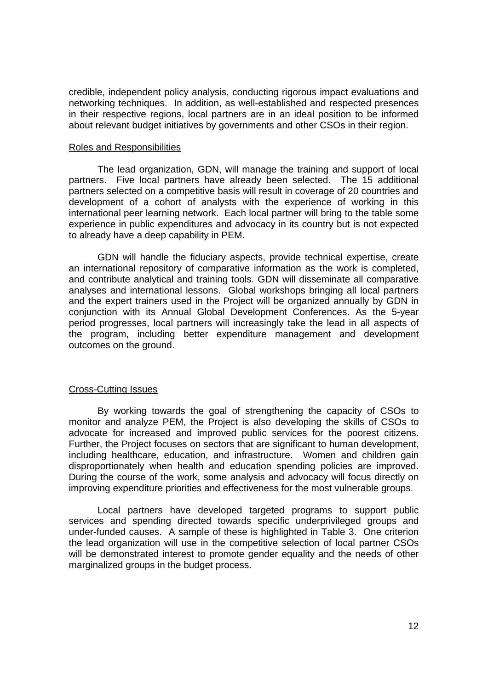credible, independent policy analysis, conducting rigorous impact evaluations and networking techniques. In addition, as well-established and respected presences in their respective regions, local partners are in an ideal position to be informed about relevant budget initiatives by governments and other CSOs in their region.

#### Roles and Responsibilities

The lead organization, GDN, will manage the training and support of local partners. Five local partners have already been selected. The 15 additional partners selected on a competitive basis will result in coverage of 20 countries and development of a cohort of analysts with the experience of working in this international peer learning network. Each local partner will bring to the table some experience in public expenditures and advocacy in its country but is not expected to already have a deep capability in PEM.

GDN will handle the fiduciary aspects, provide technical expertise, create an international repository of comparative information as the work is completed, and contribute analytical and training tools. GDN will disseminate all comparative analyses and international lessons. Global workshops bringing all local partners and the expert trainers used in the Project will be organized annually by GDN in conjunction with its Annual Global Development Conferences. As the 5-year period progresses, local partners will increasingly take the lead in all aspects of the program, including better expenditure management and development outcomes on the ground.

### Cross-Cutting Issues

By working towards the goal of strengthening the capacity of CSOs to monitor and analyze PEM, the Project is also developing the skills of CSOs to advocate for increased and improved public services for the poorest citizens. Further, the Project focuses on sectors that are significant to human development, including healthcare, education, and infrastructure. Women and children gain disproportionately when health and education spending policies are improved. During the course of the work, some analysis and advocacy will focus directly on improving expenditure priorities and effectiveness for the most vulnerable groups.

Local partners have developed targeted programs to support public services and spending directed towards specific underprivileged groups and under-funded causes. A sample of these is highlighted in Table 3. One criterion the lead organization will use in the competitive selection of local partner CSOs will be demonstrated interest to promote gender equality and the needs of other marginalized groups in the budget process.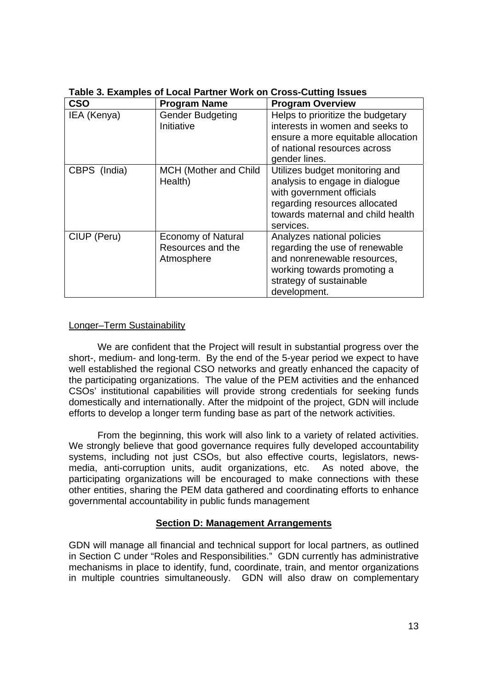| <b>CSO</b>   | <b>Program Name</b>                                          | <b>Program Overview</b>                                                                                                                                                          |
|--------------|--------------------------------------------------------------|----------------------------------------------------------------------------------------------------------------------------------------------------------------------------------|
| IEA (Kenya)  | <b>Gender Budgeting</b><br>Initiative                        | Helps to prioritize the budgetary<br>interests in women and seeks to<br>ensure a more equitable allocation<br>of national resources across<br>gender lines.                      |
| CBPS (India) | <b>MCH (Mother and Child</b><br>Health)                      | Utilizes budget monitoring and<br>analysis to engage in dialogue<br>with government officials<br>regarding resources allocated<br>towards maternal and child health<br>services. |
| CIUP (Peru)  | <b>Economy of Natural</b><br>Resources and the<br>Atmosphere | Analyzes national policies<br>regarding the use of renewable<br>and nonrenewable resources,<br>working towards promoting a<br>strategy of sustainable<br>development.            |

**Table 3. Examples of Local Partner Work on Cross-Cutting Issues** 

### Longer–Term Sustainability

We are confident that the Project will result in substantial progress over the short-, medium- and long-term. By the end of the 5-year period we expect to have well established the regional CSO networks and greatly enhanced the capacity of the participating organizations. The value of the PEM activities and the enhanced CSOs' institutional capabilities will provide strong credentials for seeking funds domestically and internationally. After the midpoint of the project, GDN will include efforts to develop a longer term funding base as part of the network activities.

 From the beginning, this work will also link to a variety of related activities. We strongly believe that good governance requires fully developed accountability systems, including not just CSOs, but also effective courts, legislators, newsmedia, anti-corruption units, audit organizations, etc. As noted above, the participating organizations will be encouraged to make connections with these other entities, sharing the PEM data gathered and coordinating efforts to enhance governmental accountability in public funds management

# **Section D: Management Arrangements**

GDN will manage all financial and technical support for local partners, as outlined in Section C under "Roles and Responsibilities." GDN currently has administrative mechanisms in place to identify, fund, coordinate, train, and mentor organizations in multiple countries simultaneously. GDN will also draw on complementary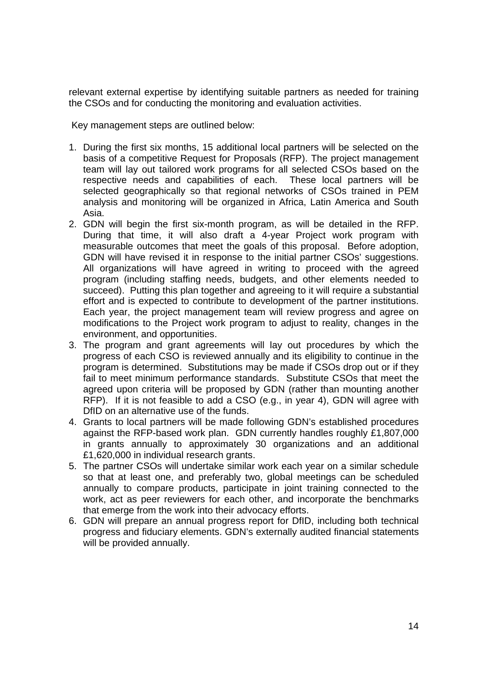relevant external expertise by identifying suitable partners as needed for training the CSOs and for conducting the monitoring and evaluation activities.

Key management steps are outlined below:

- 1. During the first six months, 15 additional local partners will be selected on the basis of a competitive Request for Proposals (RFP). The project management team will lay out tailored work programs for all selected CSOs based on the respective needs and capabilities of each. These local partners will be selected geographically so that regional networks of CSOs trained in PEM analysis and monitoring will be organized in Africa, Latin America and South Asia.
- 2. GDN will begin the first six-month program, as will be detailed in the RFP. During that time, it will also draft a 4-year Project work program with measurable outcomes that meet the goals of this proposal. Before adoption, GDN will have revised it in response to the initial partner CSOs' suggestions. All organizations will have agreed in writing to proceed with the agreed program (including staffing needs, budgets, and other elements needed to succeed). Putting this plan together and agreeing to it will require a substantial effort and is expected to contribute to development of the partner institutions. Each year, the project management team will review progress and agree on modifications to the Project work program to adjust to reality, changes in the environment, and opportunities.
- 3. The program and grant agreements will lay out procedures by which the progress of each CSO is reviewed annually and its eligibility to continue in the program is determined. Substitutions may be made if CSOs drop out or if they fail to meet minimum performance standards. Substitute CSOs that meet the agreed upon criteria will be proposed by GDN (rather than mounting another RFP). If it is not feasible to add a CSO (e.g., in year 4), GDN will agree with DfID on an alternative use of the funds.
- 4. Grants to local partners will be made following GDN's established procedures against the RFP-based work plan. GDN currently handles roughly £1,807,000 in grants annually to approximately 30 organizations and an additional £1,620,000 in individual research grants.
- 5. The partner CSOs will undertake similar work each year on a similar schedule so that at least one, and preferably two, global meetings can be scheduled annually to compare products, participate in joint training connected to the work, act as peer reviewers for each other, and incorporate the benchmarks that emerge from the work into their advocacy efforts.
- 6. GDN will prepare an annual progress report for DfID, including both technical progress and fiduciary elements. GDN's externally audited financial statements will be provided annually.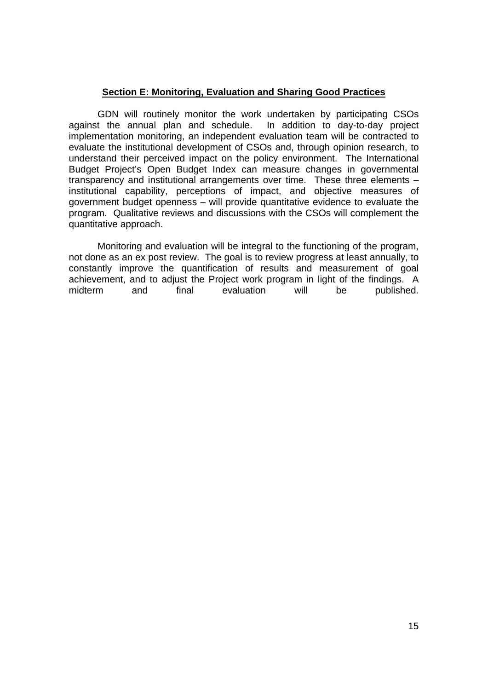# **Section E: Monitoring, Evaluation and Sharing Good Practices**

GDN will routinely monitor the work undertaken by participating CSOs against the annual plan and schedule. In addition to day-to-day project implementation monitoring, an independent evaluation team will be contracted to evaluate the institutional development of CSOs and, through opinion research, to understand their perceived impact on the policy environment. The International Budget Project's Open Budget Index can measure changes in governmental transparency and institutional arrangements over time. These three elements – institutional capability, perceptions of impact, and objective measures of government budget openness – will provide quantitative evidence to evaluate the program. Qualitative reviews and discussions with the CSOs will complement the quantitative approach.

Monitoring and evaluation will be integral to the functioning of the program, not done as an ex post review. The goal is to review progress at least annually, to constantly improve the quantification of results and measurement of goal achievement, and to adjust the Project work program in light of the findings. A midterm and final evaluation will be published.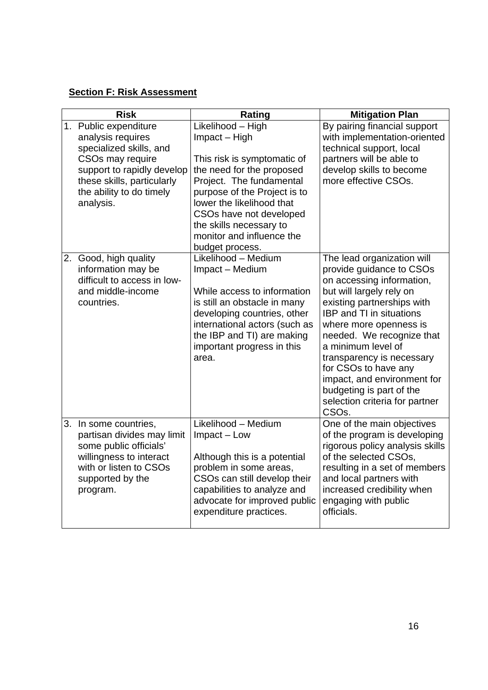# **Section F: Risk Assessment**

| <b>Risk</b> |                                                                                                                                                                                                | Rating                                                                                                                                                                                                                                                                                        | <b>Mitigation Plan</b>                                                                                                                                                                                                                                                                                                                                                                                                               |  |
|-------------|------------------------------------------------------------------------------------------------------------------------------------------------------------------------------------------------|-----------------------------------------------------------------------------------------------------------------------------------------------------------------------------------------------------------------------------------------------------------------------------------------------|--------------------------------------------------------------------------------------------------------------------------------------------------------------------------------------------------------------------------------------------------------------------------------------------------------------------------------------------------------------------------------------------------------------------------------------|--|
|             | 1. Public expenditure<br>analysis requires<br>specialized skills, and<br>CSOs may require<br>support to rapidly develop<br>these skills, particularly<br>the ability to do timely<br>analysis. | Likelihood - High<br>Impact - High<br>This risk is symptomatic of<br>the need for the proposed<br>Project. The fundamental<br>purpose of the Project is to<br>lower the likelihood that<br>CSOs have not developed<br>the skills necessary to<br>monitor and influence the<br>budget process. | By pairing financial support<br>with implementation-oriented<br>technical support, local<br>partners will be able to<br>develop skills to become<br>more effective CSOs.                                                                                                                                                                                                                                                             |  |
|             | 2. Good, high quality<br>information may be<br>difficult to access in low-<br>and middle-income<br>countries.                                                                                  | Likelihood - Medium<br>Impact - Medium<br>While access to information<br>is still an obstacle in many<br>developing countries, other<br>international actors (such as<br>the IBP and TI) are making<br>important progress in this<br>area.                                                    | The lead organization will<br>provide guidance to CSOs<br>on accessing information,<br>but will largely rely on<br>existing partnerships with<br><b>IBP and TI in situations</b><br>where more openness is<br>needed. We recognize that<br>a minimum level of<br>transparency is necessary<br>for CSOs to have any<br>impact, and environment for<br>budgeting is part of the<br>selection criteria for partner<br>CSO <sub>s.</sub> |  |
|             | 3. In some countries,<br>partisan divides may limit<br>some public officials'<br>willingness to interact<br>with or listen to CSOs<br>supported by the<br>program.                             | Likelihood - Medium<br>Impact - Low<br>Although this is a potential<br>problem in some areas,<br>CSOs can still develop their<br>capabilities to analyze and<br>advocate for improved public<br>expenditure practices.                                                                        | One of the main objectives<br>of the program is developing<br>rigorous policy analysis skills<br>of the selected CSOs,<br>resulting in a set of members<br>and local partners with<br>increased credibility when<br>engaging with public<br>officials.                                                                                                                                                                               |  |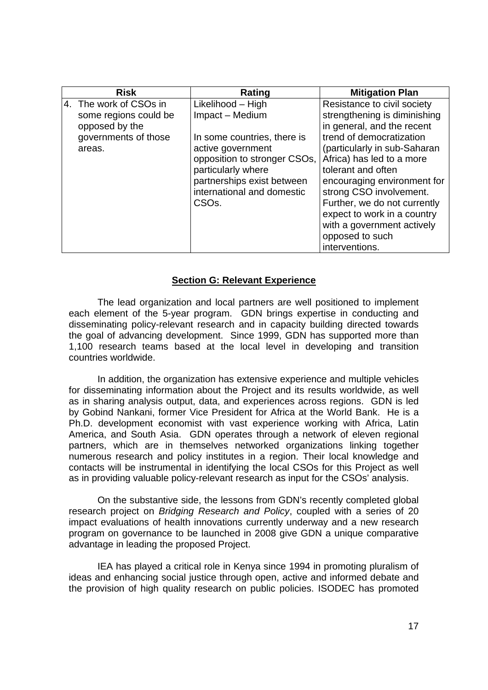| <b>Risk</b>                                                                                         | Rating                                                                                                                                                                                                                           | <b>Mitigation Plan</b>                                                                                                                                                                                                                                                                                                                                                             |
|-----------------------------------------------------------------------------------------------------|----------------------------------------------------------------------------------------------------------------------------------------------------------------------------------------------------------------------------------|------------------------------------------------------------------------------------------------------------------------------------------------------------------------------------------------------------------------------------------------------------------------------------------------------------------------------------------------------------------------------------|
| 4. The work of CSOs in<br>some regions could be<br>opposed by the<br>governments of those<br>areas. | Likelihood – High<br>Impact - Medium<br>In some countries, there is<br>active government<br>opposition to stronger CSOs,<br>particularly where<br>partnerships exist between<br>international and domestic<br>CSO <sub>s</sub> . | Resistance to civil society<br>strengthening is diminishing<br>in general, and the recent<br>trend of democratization<br>(particularly in sub-Saharan<br>Africa) has led to a more<br>tolerant and often<br>encouraging environment for<br>strong CSO involvement.<br>Further, we do not currently<br>expect to work in a country<br>with a government actively<br>opposed to such |
|                                                                                                     |                                                                                                                                                                                                                                  | interventions.                                                                                                                                                                                                                                                                                                                                                                     |

### **Section G: Relevant Experience**

The lead organization and local partners are well positioned to implement each element of the 5-year program. GDN brings expertise in conducting and disseminating policy-relevant research and in capacity building directed towards the goal of advancing development. Since 1999, GDN has supported more than 1,100 research teams based at the local level in developing and transition countries worldwide.

In addition, the organization has extensive experience and multiple vehicles for disseminating information about the Project and its results worldwide, as well as in sharing analysis output, data, and experiences across regions. GDN is led by Gobind Nankani, former Vice President for Africa at the World Bank. He is a Ph.D. development economist with vast experience working with Africa, Latin America, and South Asia. GDN operates through a network of eleven regional partners, which are in themselves networked organizations linking together numerous research and policy institutes in a region. Their local knowledge and contacts will be instrumental in identifying the local CSOs for this Project as well as in providing valuable policy-relevant research as input for the CSOs' analysis.

On the substantive side, the lessons from GDN's recently completed global research project on *Bridging Research and Policy*, coupled with a series of 20 impact evaluations of health innovations currently underway and a new research program on governance to be launched in 2008 give GDN a unique comparative advantage in leading the proposed Project.

IEA has played a critical role in Kenya since 1994 in promoting pluralism of ideas and enhancing social justice through open, active and informed debate and the provision of high quality research on public policies. ISODEC has promoted